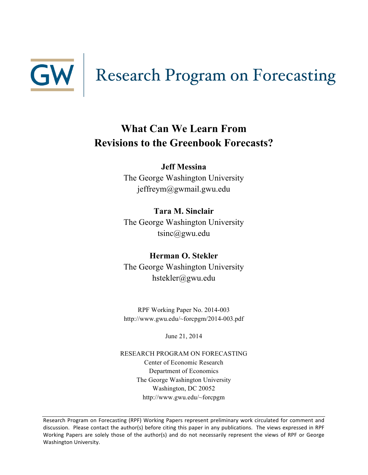

# **What Can We Learn From Revisions to the Greenbook Forecasts?**

# **Jeff Messina**

The George Washington University jeffreym@gwmail.gwu.edu

**Tara M. Sinclair** The George Washington University tsinc@gwu.edu

**Herman O. Stekler** The George Washington University hstekler@gwu.edu

RPF Working Paper No. 2014-003 http://www.gwu.edu/~forcpgm/2014-003.pdf

June 21, 2014

RESEARCH PROGRAM ON FORECASTING Center of Economic Research Department of Economics The George Washington University Washington, DC 20052 http://www.gwu.edu/~forcpgm

Research Program on Forecasting (RPF) Working Papers represent preliminary work circulated for comment and discussion. Please contact the author(s) before citing this paper in any publications. The views expressed in RPF Working Papers are solely those of the author(s) and do not necessarily represent the views of RPF or George Washington University.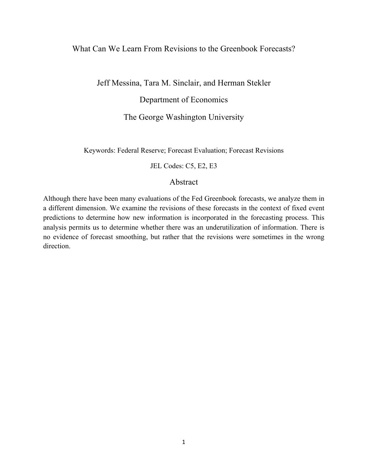# What Can We Learn From Revisions to the Greenbook Forecasts?

Jeff Messina, Tara M. Sinclair, and Herman Stekler Department of Economics

The George Washington University

Keywords: Federal Reserve; Forecast Evaluation; Forecast Revisions

JEL Codes: C5, E2, E3

# Abstract

Although there have been many evaluations of the Fed Greenbook forecasts, we analyze them in a different dimension. We examine the revisions of these forecasts in the context of fixed event predictions to determine how new information is incorporated in the forecasting process. This analysis permits us to determine whether there was an underutilization of information. There is no evidence of forecast smoothing, but rather that the revisions were sometimes in the wrong direction.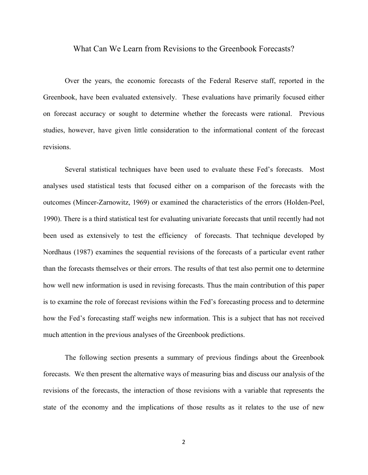#### What Can We Learn from Revisions to the Greenbook Forecasts?

Over the years, the economic forecasts of the Federal Reserve staff, reported in the Greenbook, have been evaluated extensively. These evaluations have primarily focused either on forecast accuracy or sought to determine whether the forecasts were rational. Previous studies, however, have given little consideration to the informational content of the forecast revisions.

Several statistical techniques have been used to evaluate these Fed's forecasts. Most analyses used statistical tests that focused either on a comparison of the forecasts with the outcomes (Mincer-Zarnowitz, 1969) or examined the characteristics of the errors (Holden-Peel, 1990). There is a third statistical test for evaluating univariate forecasts that until recently had not been used as extensively to test the efficiency of forecasts. That technique developed by Nordhaus (1987) examines the sequential revisions of the forecasts of a particular event rather than the forecasts themselves or their errors. The results of that test also permit one to determine how well new information is used in revising forecasts. Thus the main contribution of this paper is to examine the role of forecast revisions within the Fed's forecasting process and to determine how the Fed's forecasting staff weighs new information. This is a subject that has not received much attention in the previous analyses of the Greenbook predictions.

The following section presents a summary of previous findings about the Greenbook forecasts. We then present the alternative ways of measuring bias and discuss our analysis of the revisions of the forecasts, the interaction of those revisions with a variable that represents the state of the economy and the implications of those results as it relates to the use of new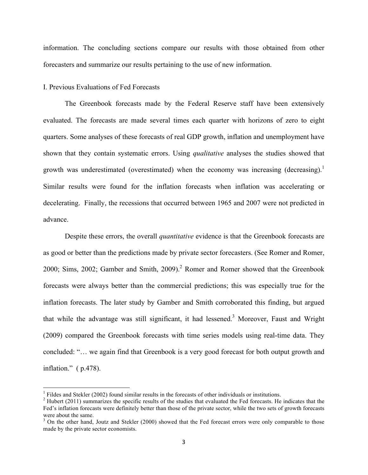information. The concluding sections compare our results with those obtained from other forecasters and summarize our results pertaining to the use of new information.

### I. Previous Evaluations of Fed Forecasts

<u> 1989 - Jan Samuel Barbara, político establecido de la provincia de la provincia de la provincia de la provinci</u>

The Greenbook forecasts made by the Federal Reserve staff have been extensively evaluated. The forecasts are made several times each quarter with horizons of zero to eight quarters. Some analyses of these forecasts of real GDP growth, inflation and unemployment have shown that they contain systematic errors. Using *qualitative* analyses the studies showed that growth was underestimated (overestimated) when the economy was increasing (decreasing).<sup>1</sup> Similar results were found for the inflation forecasts when inflation was accelerating or decelerating. Finally, the recessions that occurred between 1965 and 2007 were not predicted in advance.

Despite these errors, the overall *quantitative* evidence is that the Greenbook forecasts are as good or better than the predictions made by private sector forecasters. (See Romer and Romer, 2000; Sims, 2002; Gamber and Smith, 2009).<sup>2</sup> Romer and Romer showed that the Greenbook forecasts were always better than the commercial predictions; this was especially true for the inflation forecasts. The later study by Gamber and Smith corroborated this finding, but argued that while the advantage was still significant, it had lessened.3 Moreover, Faust and Wright (2009) compared the Greenbook forecasts with time series models using real-time data. They concluded: "… we again find that Greenbook is a very good forecast for both output growth and inflation." ( p.478).

<sup>&</sup>lt;sup>1</sup> Fildes and Stekler (2002) found similar results in the forecasts of other individuals or institutions. <sup>2</sup> Hubert (2011) summarizes the specific results of the studies that evaluated the Fed forecasts. He indicates th Fed's inflation forecasts were definitely better than those of the private sector, while the two sets of growth forecasts were about the same.

<sup>&</sup>lt;sup>3</sup> On the other hand, Joutz and Stekler (2000) showed that the Fed forecast errors were only comparable to those made by the private sector economists.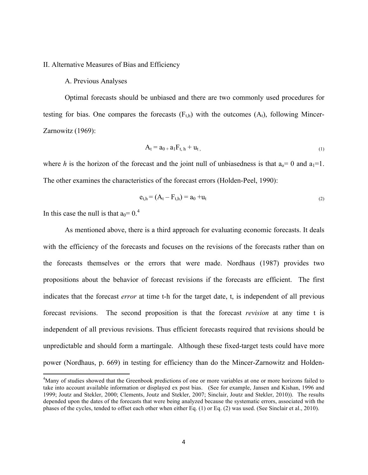II. Alternative Measures of Bias and Efficiency

#### A. Previous Analyses

Optimal forecasts should be unbiased and there are two commonly used procedures for testing for bias. One compares the forecasts  $(F_{th})$  with the outcomes  $(A_t)$ , following Mincer-Zarnowitz (1969):

$$
\mathbf{A}_{t} = \mathbf{a}_{0+} \mathbf{a}_{1} \mathbf{F}_{t, h} + \mathbf{u}_{t,}
$$
\n<sup>(1)</sup>

where *h* is the horizon of the forecast and the joint null of unbiasedness is that  $a_0 = 0$  and  $a_1 = 1$ . The other examines the characteristics of the forecast errors (Holden-Peel, 1990):

$$
e_{t,h} = (A_t - F_{t,h}) = a_0 + u_t
$$
\n(2)

In this case the null is that  $a_0 = 0.4$ 

<u> 1989 - Jan Samuel Barbara, político establecido de la provincia de la provincia de la provincia de la provinci</u>

As mentioned above, there is a third approach for evaluating economic forecasts. It deals with the efficiency of the forecasts and focuses on the revisions of the forecasts rather than on the forecasts themselves or the errors that were made. Nordhaus (1987) provides two propositions about the behavior of forecast revisions if the forecasts are efficient. The first indicates that the forecast *error* at time t-h for the target date, t, is independent of all previous forecast revisions. The second proposition is that the forecast *revision* at any time t is independent of all previous revisions. Thus efficient forecasts required that revisions should be unpredictable and should form a martingale. Although these fixed-target tests could have more power (Nordhaus, p. 669) in testing for efficiency than do the Mincer-Zarnowitz and Holden-

<sup>&</sup>lt;sup>4</sup>Many of studies showed that the Greenbook predictions of one or more variables at one or more horizons failed to take into account available information or displayed ex post bias. (See for example, Jansen and Kishan, 1996 and 1999; Joutz and Stekler, 2000; Clements, Joutz and Stekler, 2007; Sinclair, Joutz and Stekler, 2010)). The results depended upon the dates of the forecasts that were being analyzed because the systematic errors, associated with the phases of the cycles, tended to offset each other when either Eq. (1) or Eq. (2) was used. (See Sinclair et al., 2010).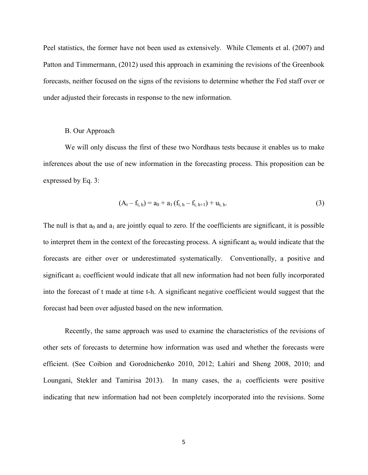Peel statistics, the former have not been used as extensively. While Clements et al. (2007) and Patton and Timmermann, (2012) used this approach in examining the revisions of the Greenbook forecasts, neither focused on the signs of the revisions to determine whether the Fed staff over or under adjusted their forecasts in response to the new information.

#### B. Our Approach

We will only discuss the first of these two Nordhaus tests because it enables us to make inferences about the use of new information in the forecasting process. This proposition can be expressed by Eq. 3:

$$
(A_t - f_{t, h}) = a_0 + a_1 (f_{t, h} - f_{t, h+1}) + u_{t, h}. \tag{3}
$$

The null is that  $a_0$  and  $a_1$  are jointly equal to zero. If the coefficients are significant, it is possible to interpret them in the context of the forecasting process. A significant  $a_0$  would indicate that the forecasts are either over or underestimated systematically. Conventionally, a positive and significant  $a_1$  coefficient would indicate that all new information had not been fully incorporated into the forecast of t made at time t-h. A significant negative coefficient would suggest that the forecast had been over adjusted based on the new information.

Recently, the same approach was used to examine the characteristics of the revisions of other sets of forecasts to determine how information was used and whether the forecasts were efficient. (See Coibion and Gorodnichenko 2010, 2012; Lahiri and Sheng 2008, 2010; and Loungani, Stekler and Tamirisa 2013). In many cases, the  $a_1$  coefficients were positive indicating that new information had not been completely incorporated into the revisions. Some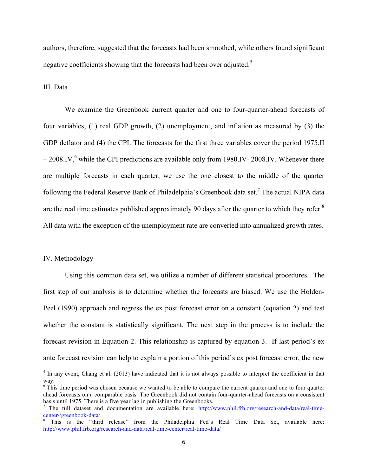authors, therefore, suggested that the forecasts had been smoothed, while others found significant negative coefficients showing that the forecasts had been over adjusted.<sup>5</sup>

III. Data

We examine the Greenbook current quarter and one to four-quarter-ahead forecasts of four variables; (1) real GDP growth, (2) unemployment, and inflation as measured by (3) the GDP deflator and (4) the CPI. The forecasts for the first three variables cover the period 1975.II  $-2008$ .IV, $^{6}$  while the CPI predictions are available only from 1980.IV- 2008.IV. Whenever there are multiple forecasts in each quarter, we use the one closest to the middle of the quarter following the Federal Reserve Bank of Philadelphia's Greenbook data set.<sup>7</sup> The actual NIPA data are the real time estimates published approximately 90 days after the quarter to which they refer.<sup>8</sup> All data with the exception of the unemployment rate are converted into annualized growth rates.

#### IV. Methodology

<u> 1989 - Jan Samuel Barbara, político establecido de la provincia de la provincia de la provincia de la provinci</u>

Using this common data set, we utilize a number of different statistical procedures. The first step of our analysis is to determine whether the forecasts are biased. We use the Holden-Peel (1990) approach and regress the ex post forecast error on a constant (equation 2) and test whether the constant is statistically significant. The next step in the process is to include the forecast revision in Equation 2. This relationship is captured by equation 3. If last period's ex ante forecast revision can help to explain a portion of this period's ex post forecast error, the new

 $<sup>5</sup>$  In any event, Chang et al. (2013) have indicated that it is not always possible to interpret the coefficient in that</sup> way.

<sup>&</sup>lt;sup>6</sup> This time period was chosen because we wanted to be able to compare the current quarter and one to four quarter ahead forecasts on a comparable basis. The Greenbook did not contain four-quarter-ahead forecasts on a consistent basis until 1975. There is a five year lag in publishing the Greenbooks.

<sup>7</sup> The full dataset and documentation are available here: http://www.phil.frb.org/research-and-data/real-time-

This is the "third release" from the Philadelphia Fed's Real Time Data Set, available here: http://www.phil.frb.org/research-and-data/real-time-center/real-time-data/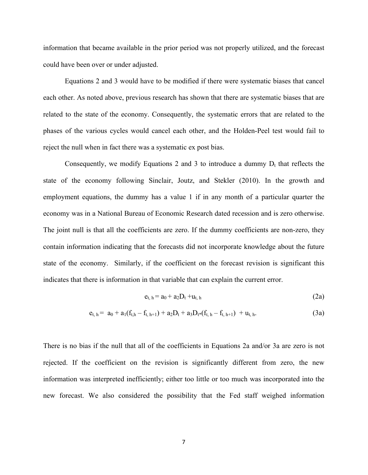information that became available in the prior period was not properly utilized, and the forecast could have been over or under adjusted.

Equations 2 and 3 would have to be modified if there were systematic biases that cancel each other. As noted above, previous research has shown that there are systematic biases that are related to the state of the economy. Consequently, the systematic errors that are related to the phases of the various cycles would cancel each other, and the Holden-Peel test would fail to reject the null when in fact there was a systematic ex post bias.

Consequently, we modify Equations 2 and 3 to introduce a dummy  $D_t$  that reflects the state of the economy following Sinclair, Joutz, and Stekler (2010). In the growth and employment equations, the dummy has a value 1 if in any month of a particular quarter the economy was in a National Bureau of Economic Research dated recession and is zero otherwise. The joint null is that all the coefficients are zero. If the dummy coefficients are non-zero, they contain information indicating that the forecasts did not incorporate knowledge about the future state of the economy. Similarly, if the coefficient on the forecast revision is significant this indicates that there is information in that variable that can explain the current error.

$$
e_{t, h} = a_0 + a_2 D_t + u_{t, h}
$$
 (2a)

$$
e_{t, h} = a_0 + a_1(f_{t, h} - f_{t, h+1}) + a_2D_t + a_3D_{t}*(f_{t, h} - f_{t, h+1}) + u_{t, h}.
$$
\n(3a)

There is no bias if the null that all of the coefficients in Equations 2a and/or 3a are zero is not rejected. If the coefficient on the revision is significantly different from zero, the new information was interpreted inefficiently; either too little or too much was incorporated into the new forecast. We also considered the possibility that the Fed staff weighed information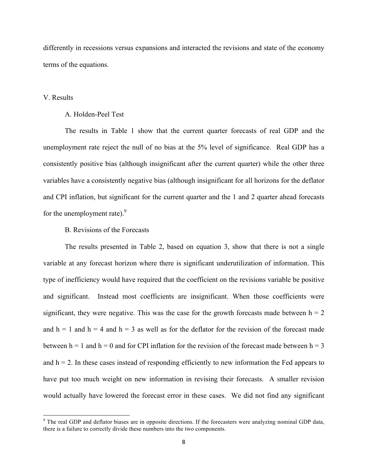differently in recessions versus expansions and interacted the revisions and state of the economy terms of the equations.

#### V. Results

#### A. Holden-Peel Test

The results in Table 1 show that the current quarter forecasts of real GDP and the unemployment rate reject the null of no bias at the 5% level of significance. Real GDP has a consistently positive bias (although insignificant after the current quarter) while the other three variables have a consistently negative bias (although insignificant for all horizons for the deflator and CPI inflation, but significant for the current quarter and the 1 and 2 quarter ahead forecasts for the unemployment rate).<sup>9</sup>

#### B. Revisions of the Forecasts

 

The results presented in Table 2, based on equation 3, show that there is not a single variable at any forecast horizon where there is significant underutilization of information. This type of inefficiency would have required that the coefficient on the revisions variable be positive and significant. Instead most coefficients are insignificant. When those coefficients were significant, they were negative. This was the case for the growth forecasts made between  $h = 2$ and  $h = 1$  and  $h = 4$  and  $h = 3$  as well as for the deflator for the revision of the forecast made between  $h = 1$  and  $h = 0$  and for CPI inflation for the revision of the forecast made between  $h = 3$ and  $h = 2$ . In these cases instead of responding efficiently to new information the Fed appears to have put too much weight on new information in revising their forecasts. A smaller revision would actually have lowered the forecast error in these cases. We did not find any significant

 $9$  The real GDP and deflator biases are in opposite directions. If the forecasters were analyzing nominal GDP data, there is a failure to correctly divide these numbers into the two components.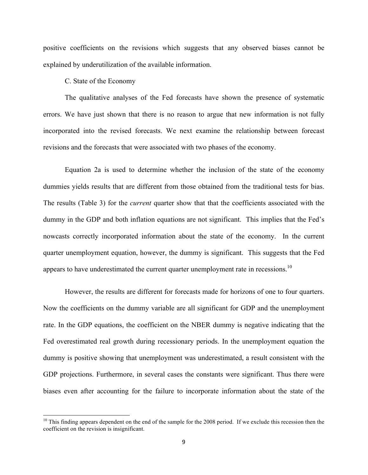positive coefficients on the revisions which suggests that any observed biases cannot be explained by underutilization of the available information.

C. State of the Economy

 

The qualitative analyses of the Fed forecasts have shown the presence of systematic errors. We have just shown that there is no reason to argue that new information is not fully incorporated into the revised forecasts. We next examine the relationship between forecast revisions and the forecasts that were associated with two phases of the economy.

Equation 2a is used to determine whether the inclusion of the state of the economy dummies yields results that are different from those obtained from the traditional tests for bias. The results (Table 3) for the *current* quarter show that that the coefficients associated with the dummy in the GDP and both inflation equations are not significant. This implies that the Fed's nowcasts correctly incorporated information about the state of the economy. In the current quarter unemployment equation, however, the dummy is significant. This suggests that the Fed appears to have underestimated the current quarter unemployment rate in recessions.<sup>10</sup>

However, the results are different for forecasts made for horizons of one to four quarters. Now the coefficients on the dummy variable are all significant for GDP and the unemployment rate. In the GDP equations, the coefficient on the NBER dummy is negative indicating that the Fed overestimated real growth during recessionary periods. In the unemployment equation the dummy is positive showing that unemployment was underestimated, a result consistent with the GDP projections. Furthermore, in several cases the constants were significant. Thus there were biases even after accounting for the failure to incorporate information about the state of the

 $10$  This finding appears dependent on the end of the sample for the 2008 period. If we exclude this recession then the coefficient on the revision is insignificant.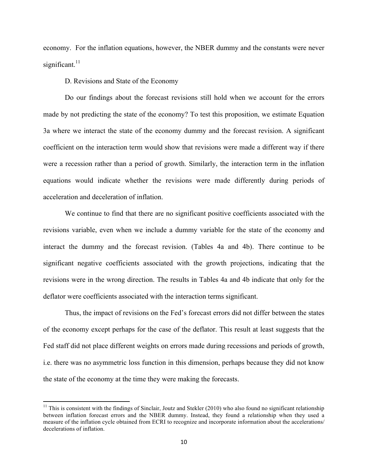economy. For the inflation equations, however, the NBER dummy and the constants were never significant. $11$ 

D. Revisions and State of the Economy

<u> 1989 - Johann Stein, fransk politiker (d. 1989)</u>

Do our findings about the forecast revisions still hold when we account for the errors made by not predicting the state of the economy? To test this proposition, we estimate Equation 3a where we interact the state of the economy dummy and the forecast revision. A significant coefficient on the interaction term would show that revisions were made a different way if there were a recession rather than a period of growth. Similarly, the interaction term in the inflation equations would indicate whether the revisions were made differently during periods of acceleration and deceleration of inflation.

We continue to find that there are no significant positive coefficients associated with the revisions variable, even when we include a dummy variable for the state of the economy and interact the dummy and the forecast revision. (Tables 4a and 4b). There continue to be significant negative coefficients associated with the growth projections, indicating that the revisions were in the wrong direction. The results in Tables 4a and 4b indicate that only for the deflator were coefficients associated with the interaction terms significant.

Thus, the impact of revisions on the Fed's forecast errors did not differ between the states of the economy except perhaps for the case of the deflator. This result at least suggests that the Fed staff did not place different weights on errors made during recessions and periods of growth, i.e. there was no asymmetric loss function in this dimension, perhaps because they did not know the state of the economy at the time they were making the forecasts.

 $<sup>11</sup>$  This is consistent with the findings of Sinclair, Joutz and Stekler (2010) who also found no significant relationship</sup> between inflation forecast errors and the NBER dummy. Instead, they found a relationship when they used a measure of the inflation cycle obtained from ECRI to recognize and incorporate information about the accelerations/ decelerations of inflation.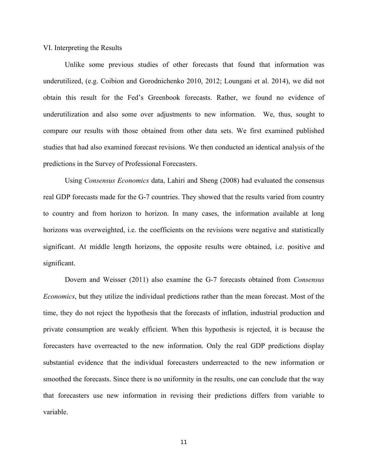VI. Interpreting the Results

Unlike some previous studies of other forecasts that found that information was underutilized, (e.g. Coibion and Gorodnichenko 2010, 2012; Loungani et al. 2014), we did not obtain this result for the Fed's Greenbook forecasts. Rather, we found no evidence of underutilization and also some over adjustments to new information. We, thus, sought to compare our results with those obtained from other data sets. We first examined published studies that had also examined forecast revisions. We then conducted an identical analysis of the predictions in the Survey of Professional Forecasters.

Using *Consensus Economics* data, Lahiri and Sheng (2008) had evaluated the consensus real GDP forecasts made for the G-7 countries. They showed that the results varied from country to country and from horizon to horizon. In many cases, the information available at long horizons was overweighted, i.e. the coefficients on the revisions were negative and statistically significant. At middle length horizons, the opposite results were obtained, i.e. positive and significant.

Dovern and Weisser (2011) also examine the G-7 forecasts obtained from *Consensus Economics*, but they utilize the individual predictions rather than the mean forecast. Most of the time, they do not reject the hypothesis that the forecasts of inflation, industrial production and private consumption are weakly efficient. When this hypothesis is rejected, it is because the forecasters have overreacted to the new information. Only the real GDP predictions display substantial evidence that the individual forecasters underreacted to the new information or smoothed the forecasts. Since there is no uniformity in the results, one can conclude that the way that forecasters use new information in revising their predictions differs from variable to variable.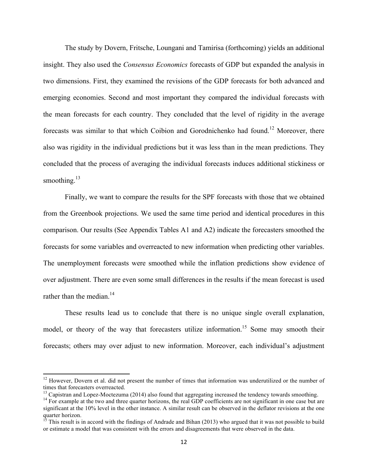The study by Dovern, Fritsche, Loungani and Tamirisa (forthcoming) yields an additional insight. They also used the *Consensus Economics* forecasts of GDP but expanded the analysis in two dimensions. First, they examined the revisions of the GDP forecasts for both advanced and emerging economies. Second and most important they compared the individual forecasts with the mean forecasts for each country. They concluded that the level of rigidity in the average forecasts was similar to that which Coibion and Gorodnichenko had found.<sup>12</sup> Moreover, there also was rigidity in the individual predictions but it was less than in the mean predictions. They concluded that the process of averaging the individual forecasts induces additional stickiness or smoothing. $13$ 

Finally, we want to compare the results for the SPF forecasts with those that we obtained from the Greenbook projections. We used the same time period and identical procedures in this comparison. Our results (See Appendix Tables A1 and A2) indicate the forecasters smoothed the forecasts for some variables and overreacted to new information when predicting other variables. The unemployment forecasts were smoothed while the inflation predictions show evidence of over adjustment. There are even some small differences in the results if the mean forecast is used rather than the median. $14$ 

These results lead us to conclude that there is no unique single overall explanation, model, or theory of the way that forecasters utilize information.<sup>15</sup> Some may smooth their forecasts; others may over adjust to new information. Moreover, each individual's adjustment

<u> 1989 - Johann Stein, fransk politiker (d. 1989)</u>

 $12$  However, Dovern et al. did not present the number of times that information was underutilized or the number of times that forecasters overreacted.<br><sup>13</sup> Capistran and Lopez-Moctezuma (2014) also found that aggregating increased the tendency towards smoothing.

<sup>&</sup>lt;sup>14</sup> For example at the two and three quarter horizons, the real GDP coefficients are not significant in one case but are significant at the 10% level in the other instance. A similar result can be observed in the deflator revisions at the one quarter horizon.

 $15$  This result is in accord with the findings of Andrade and Bihan (2013) who argued that it was not possible to build or estimate a model that was consistent with the errors and disagreements that were observed in the data.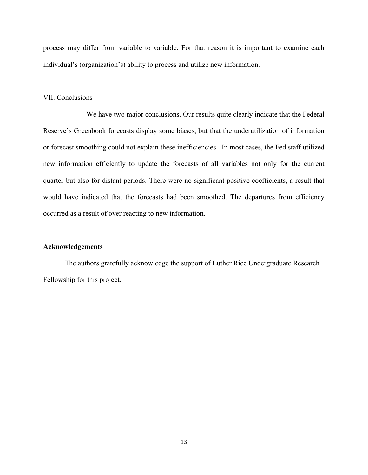process may differ from variable to variable. For that reason it is important to examine each individual's (organization's) ability to process and utilize new information.

#### VII. Conclusions

We have two major conclusions. Our results quite clearly indicate that the Federal Reserve's Greenbook forecasts display some biases, but that the underutilization of information or forecast smoothing could not explain these inefficiencies. In most cases, the Fed staff utilized new information efficiently to update the forecasts of all variables not only for the current quarter but also for distant periods. There were no significant positive coefficients, a result that would have indicated that the forecasts had been smoothed. The departures from efficiency occurred as a result of over reacting to new information.

#### **Acknowledgements**

The authors gratefully acknowledge the support of Luther Rice Undergraduate Research Fellowship for this project.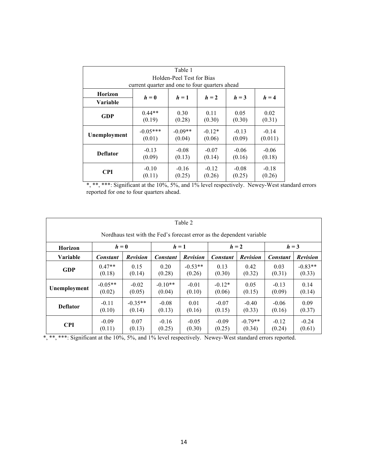| Table 1                                        |                                                 |                     |                    |                   |                    |  |  |  |  |  |
|------------------------------------------------|-------------------------------------------------|---------------------|--------------------|-------------------|--------------------|--|--|--|--|--|
| Holden-Peel Test for Bias                      |                                                 |                     |                    |                   |                    |  |  |  |  |  |
| current quarter and one to four quarters ahead |                                                 |                     |                    |                   |                    |  |  |  |  |  |
| Horizon                                        | $h=0$<br>$h=1$<br>$h = 2$<br>$h = 3$<br>$h = 4$ |                     |                    |                   |                    |  |  |  |  |  |
| Variable                                       |                                                 |                     |                    |                   |                    |  |  |  |  |  |
| GDP                                            | $0.44**$<br>(0.19)                              | 0.30<br>(0.28)      | 0.11<br>(0.30)     | 0.05<br>(0.30)    | 0.02<br>(0.31)     |  |  |  |  |  |
| Unemployment                                   | $-0.05***$<br>(0.01)                            | $-0.09**$<br>(0.04) | $-0.12*$<br>(0.06) | $-0.13$<br>(0.09) | $-0.14$<br>(0.011) |  |  |  |  |  |
| <b>Deflator</b>                                | $-0.13$<br>(0.09)                               | $-0.08$<br>(0.13)   | $-0.07$<br>(0.14)  | $-0.06$<br>(0.16) | $-0.06$<br>(0.18)  |  |  |  |  |  |
| <b>CPI</b>                                     | $-0.10$<br>(0.11)                               | $-0.16$<br>(0.25)   | $-0.12$<br>(0.26)  | $-0.08$<br>(0.25) | $-0.18$<br>(0.26)  |  |  |  |  |  |

\*, \*\*, \*\*\*: Significant at the 10%, 5%, and 1% level respectively. Newey-West standard errors reported for one to four quarters ahead.

| Table 2                                                               |                         |                 |           |                 |                 |                 |                 |                 |  |  |
|-----------------------------------------------------------------------|-------------------------|-----------------|-----------|-----------------|-----------------|-----------------|-----------------|-----------------|--|--|
| Nordhaus test with the Fed's forecast error as the dependent variable |                         |                 |           |                 |                 |                 |                 |                 |  |  |
| <b>Horizon</b>                                                        | $h=0$<br>$h=1$<br>$h=2$ |                 |           |                 |                 |                 |                 | $h = 3$         |  |  |
| <b>Variable</b>                                                       | <b>Constant</b>         | <b>Revision</b> | Constant  | <b>Revision</b> | <b>Constant</b> | <b>Revision</b> | <b>Constant</b> | <b>Revision</b> |  |  |
| <b>GDP</b>                                                            | $0.47**$                | 0.15            | 0.20      | $-0.53**$       | 0.13            | 0.42            | 0.03            | $-0.83**$       |  |  |
|                                                                       | (0.18)                  | (0.14)          | (0.28)    | (0.26)          | (0.30)          | (0.32)          | (0.31)          | (0.33)          |  |  |
| Unemployment                                                          | $-0.05**$               | $-0.02$         | $-0.10**$ | $-0.01$         | $-0.12*$        | 0.05            | $-0.13$         | 0.14            |  |  |
|                                                                       | (0.02)                  | (0.05)          | (0.04)    | (0.10)          | (0.06)          | (0.15)          | (0.09)          | (0.14)          |  |  |
| <b>Deflator</b>                                                       | $-0.11$                 | $-0.35**$       | $-0.08$   | 0.01            | $-0.07$         | $-0.40$         | $-0.06$         | 0.09            |  |  |
|                                                                       | (0.10)                  | (0.14)          | (0.13)    | (0.16)          | (0.15)          | (0.33)          | (0.16)          | (0.37)          |  |  |
| <b>CPI</b>                                                            | $-0.09$                 | 0.07            | $-0.16$   | $-0.05$         | $-0.09$         | $-0.79**$       | $-0.12$         | $-0.24$         |  |  |
|                                                                       | (0.11)                  | (0.13)          | (0.25)    | (0.30)          | (0.25)          | (0.34)          | (0.24)          | (0.61)          |  |  |

\*, \*\*\* Significant at the 10%, 5%, and 1% level respectively. Newey-West standard errors reported.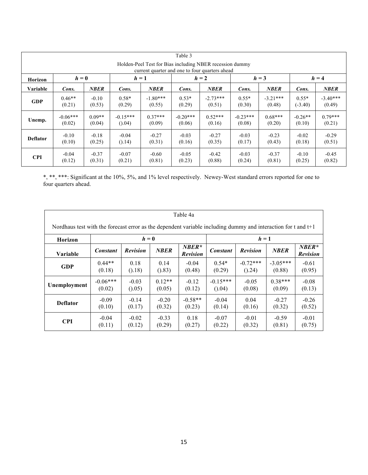|                                                                                                            | Table 3    |             |            |             |            |             |            |             |           |             |  |
|------------------------------------------------------------------------------------------------------------|------------|-------------|------------|-------------|------------|-------------|------------|-------------|-----------|-------------|--|
| Holden-Peel Test for Bias including NBER recession dummy<br>current quarter and one to four quarters ahead |            |             |            |             |            |             |            |             |           |             |  |
| <b>Horizon</b>                                                                                             | $h=0$      |             | $h=1$      |             | $h=2$      |             | $h = 3$    |             | $h = 4$   |             |  |
| <b>Variable</b>                                                                                            | Cons.      | <b>NBER</b> | Cons.      | <b>NBER</b> | Cons.      | <b>NBER</b> | Cons.      | <b>NBER</b> | Cons.     | <b>NBER</b> |  |
| <b>GDP</b>                                                                                                 | $0.46**$   | $-0.10$     | $0.58*$    | $-1.80***$  | $0.53*$    | $-2.73***$  | $0.55*$    | $-3.21***$  | $0.55*$   | $-3.40***$  |  |
|                                                                                                            | (0.21)     | (0.53)      | (0.29)     | (0.55)      | (0.29)     | (0.51)      | (0.30)     | (0.48)      | $(-3.40)$ | (0.49)      |  |
| Unemp.                                                                                                     | $-0.06***$ | $0.09**$    | $-0.15***$ | $0.37***$   | $-0.20***$ | $0.52***$   | $-0.23***$ | $0.68***$   | $-0.26**$ | $0.79***$   |  |
|                                                                                                            | (0.02)     | (0.04)      | (0.04)     | (0.09)      | (0.06)     | (0.16)      | (0.08)     | (0.20)      | (0.10)    | (0.21)      |  |
| <b>Deflator</b>                                                                                            | $-0.10$    | $-0.18$     | $-0.04$    | $-0.27$     | $-0.03$    | $-0.27$     | $-0.03$    | $-0.23$     | $-0.02$   | $-0.29$     |  |
|                                                                                                            | (0.10)     | (0.25)      | (0.14)     | (0.31)      | (0.16)     | (0.35)      | (0.17)     | (0.43)      | (0.18)    | (0.51)      |  |
| <b>CPI</b>                                                                                                 | $-0.04$    | $-0.37$     | $-0.07$    | $-0.60$     | $-0.05$    | $-0.42$     | $-0.03$    | $-0.37$     | $-0.10$   | $-0.45$     |  |
|                                                                                                            | (0.12)     | (0.31)      | (0.21)     | (0.81)      | (0.23)     | (0.88)      | (0.24)     | (0.81)      | (0.25)    | (0.82)      |  |

\*, \*\*, \*\*\*: Significant at the 10%, 5%, and 1% level respectively. Newey-West standard errors reported for one to four quarters ahead.

| Table 4a                                                                                                        |            |                 |             |                             |                                                                                 |            |            |         |  |  |
|-----------------------------------------------------------------------------------------------------------------|------------|-----------------|-------------|-----------------------------|---------------------------------------------------------------------------------|------------|------------|---------|--|--|
| Nordhaus test with the forecast error as the dependent variable including dummy and interaction for t and $t+1$ |            |                 |             |                             |                                                                                 |            |            |         |  |  |
| <b>Horizon</b>                                                                                                  |            | $h=0$           |             |                             |                                                                                 | $h=1$      |            |         |  |  |
| Variable                                                                                                        | Constant   | <b>Revision</b> | <b>NBER</b> | $NBER^*$<br><b>Revision</b> | $NBER*$<br><b>Revision</b><br><b>NBER</b><br><b>Constant</b><br><b>Revision</b> |            |            |         |  |  |
| <b>GDP</b>                                                                                                      | $0.44**$   | 0.18            | 0.14        | $-0.04$                     | $0.54*$                                                                         | $-0.72***$ | $-3.05***$ | $-0.61$ |  |  |
|                                                                                                                 | (0.18)     | (0.18)          | (0.83)      | (0.48)                      | (0.29)                                                                          | (0.24)     | (0.88)     | (0.95)  |  |  |
| Unemployment                                                                                                    | $-0.06***$ | $-0.03$         | $0.12**$    | $-0.12$                     | $-0.15***$                                                                      | $-0.05$    | $0.38***$  | $-0.08$ |  |  |
|                                                                                                                 | (0.02)     | (0.05)          | (0.05)      | (0.12)                      | (0.04)                                                                          | (0.08)     | (0.09)     | (0.13)  |  |  |
| <b>Deflator</b>                                                                                                 | $-0.09$    | $-0.14$         | $-0.20$     | $-0.58**$                   | $-0.04$                                                                         | 0.04       | $-0.27$    | $-0.26$ |  |  |
|                                                                                                                 | (0.10)     | (0.17)          | (0.32)      | (0.23)                      | (0.14)                                                                          | (0.16)     | (0.32)     | (0.52)  |  |  |
| <b>CPI</b>                                                                                                      | $-0.04$    | $-0.02$         | $-0.33$     | 0.18                        | $-0.07$                                                                         | $-0.01$    | $-0.59$    | $-0.01$ |  |  |
|                                                                                                                 | (0.11)     | (0.12)          | (0.29)      | (0.27)                      | (0.22)                                                                          | (0.32)     | (0.81)     | (0.75)  |  |  |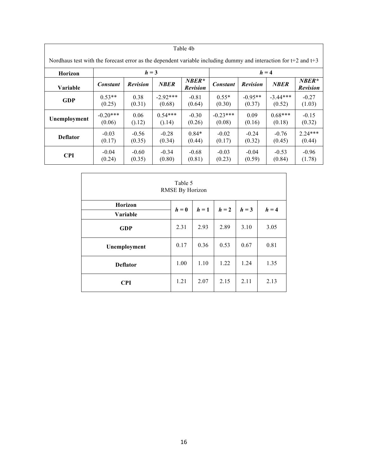| Table 4b                                                                                                            |                 |                 |             |                            |                 |                 |             |                            |  |  |
|---------------------------------------------------------------------------------------------------------------------|-----------------|-----------------|-------------|----------------------------|-----------------|-----------------|-------------|----------------------------|--|--|
| Nordhaus test with the forecast error as the dependent variable including dummy and interaction for $t+2$ and $t+3$ |                 |                 |             |                            |                 |                 |             |                            |  |  |
| <b>Horizon</b>                                                                                                      |                 | $h = 3$         |             |                            |                 |                 | $h = 4$     |                            |  |  |
| <b>Variable</b>                                                                                                     | <b>Constant</b> | <b>Revision</b> | <b>NBER</b> | $NBER*$<br><b>Revision</b> | <b>Constant</b> | <b>Revision</b> | <b>NBER</b> | $NBER*$<br><b>Revision</b> |  |  |
| <b>GDP</b>                                                                                                          | $0.53**$        | 0.38            | $-2.92***$  | $-0.81$                    | $0.55*$         | $-0.95**$       | $-3.44***$  | $-0.27$                    |  |  |
|                                                                                                                     | (0.25)          | (0.31)          | (0.68)      | (0.64)                     | (0.30)          | (0.37)          | (0.52)      | (1.03)                     |  |  |
| Unemployment                                                                                                        | $-0.20***$      | 0.06            | $0.54***$   | $-0.30$                    | $-0.23***$      | 0.09            | $0.68***$   | $-0.15$                    |  |  |
|                                                                                                                     | (0.06)          | (0.12)          | (0.14)      | (0.26)                     | (0.08)          | (0.16)          | (0.18)      | (0.32)                     |  |  |
| <b>Deflator</b>                                                                                                     | $-0.03$         | $-0.56$         | $-0.28$     | $0.84*$                    | $-0.02$         | $-0.24$         | $-0.76$     | $2.24***$                  |  |  |
|                                                                                                                     | (0.17)          | (0.35)          | (0.34)      | (0.44)                     | (0.17)          | (0.32)          | (0.45)      | (0.44)                     |  |  |
| <b>CPI</b>                                                                                                          | $-0.04$         | $-0.60$         | $-0.34$     | $-0.68$                    | $-0.03$         | $-0.04$         | $-0.53$     | $-0.96$                    |  |  |
|                                                                                                                     | (0.24)          | (0.35)          | (0.80)      | (0.81)                     | (0.23)          | (0.59)          | (0.84)      | (1.78)                     |  |  |

| Table 5<br><b>RMSE By Horizon</b> |       |       |       |         |         |  |  |  |  |  |
|-----------------------------------|-------|-------|-------|---------|---------|--|--|--|--|--|
| <b>Horizon</b><br>Variable        | $h=0$ | $h=1$ | $h=2$ | $h = 3$ | $h = 4$ |  |  |  |  |  |
| <b>GDP</b>                        | 2.31  | 2.93  | 2.89  | 3.10    | 3.05    |  |  |  |  |  |
| Unemployment                      | 0.17  | 0.36  | 0.53  | 0.67    | 0.81    |  |  |  |  |  |
| <b>Deflator</b>                   | 1.00  | 1.10  | 1.22  | 1.24    | 1.35    |  |  |  |  |  |
| <b>CPI</b>                        | 1.21  | 2.07  | 2.15  | 2.11    | 2.13    |  |  |  |  |  |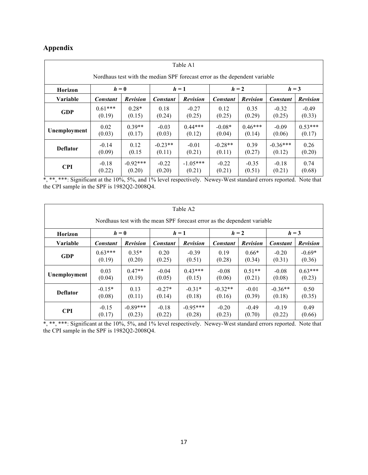# **Appendix**

| Table A1                                                                   |                 |                                      |                 |                 |           |                 |                 |                 |  |  |
|----------------------------------------------------------------------------|-----------------|--------------------------------------|-----------------|-----------------|-----------|-----------------|-----------------|-----------------|--|--|
| Nordhaus test with the median SPF forecast error as the dependent variable |                 |                                      |                 |                 |           |                 |                 |                 |  |  |
| <b>Horizon</b>                                                             |                 | $h=0$<br>$h=1$<br>$h = 2$<br>$h = 3$ |                 |                 |           |                 |                 |                 |  |  |
| <b>Variable</b>                                                            | <b>Constant</b> | <b>Revision</b>                      | <b>Constant</b> | <b>Revision</b> | Constant  | <b>Revision</b> | <b>Constant</b> | <b>Revision</b> |  |  |
| <b>GDP</b>                                                                 | $0.61***$       | $0.28*$                              | 0.18            | $-0.27$         | 0.12      | 0.35            | $-0.32$         | $-0.49$         |  |  |
|                                                                            | (0.19)          | (0.15)                               | (0.24)          | (0.25)          | (0.25)    | (0.29)          | (0.25)          | (0.33)          |  |  |
| Unemployment                                                               | 0.02            | $0.39**$                             | $-0.03$         | $0.44***$       | $-0.08*$  | $0.46***$       | $-0.09$         | $0.53***$       |  |  |
|                                                                            | (0.03)          | (0.17)                               | (0.03)          | (0.12)          | (0.04)    | (0.14)          | (0.06)          | (0.17)          |  |  |
| <b>Deflator</b>                                                            | $-0.14$         | 0.12                                 | $-0.23**$       | $-0.01$         | $-0.28**$ | 0.39            | $-0.36***$      | 0.26            |  |  |
|                                                                            | (0.09)          | (0.15)                               | (0.11)          | (0.21)          | (0.11)    | (0.27)          | (0.12)          | (0.20)          |  |  |
| <b>CPI</b>                                                                 | $-0.18$         | $-0.92***$                           | $-0.22$         | $-1.05***$      | $-0.22$   | $-0.35$         | $-0.18$         | 0.74            |  |  |
|                                                                            | (0.22)          | (0.20)                               | (0.20)          | (0.21)          | (0.21)    | (0.51)          | (0.21)          | (0.68)          |  |  |

\*, \*\*, \*\*\*: Significant at the 10%, 5%, and 1% level respectively. Newey-West standard errors reported. Note that the CPI sample in the SPF is 1982Q2-2008Q4.

| Table A2                                                                 |                 |                                      |                 |                 |                 |                 |                 |                 |  |  |
|--------------------------------------------------------------------------|-----------------|--------------------------------------|-----------------|-----------------|-----------------|-----------------|-----------------|-----------------|--|--|
| Nordhaus test with the mean SPF forecast error as the dependent variable |                 |                                      |                 |                 |                 |                 |                 |                 |  |  |
| Horizon                                                                  |                 | $h = 2$<br>$h = 3$<br>$h=0$<br>$h=1$ |                 |                 |                 |                 |                 |                 |  |  |
| Variable                                                                 | <b>Constant</b> | <b>Revision</b>                      | <b>Constant</b> | <b>Revision</b> | <b>Constant</b> | <b>Revision</b> | <b>Constant</b> | <b>Revision</b> |  |  |
| <b>GDP</b>                                                               | $0.63***$       | $0.35*$                              | 0.20            | $-0.39$         | 0.19            | $0.66*$         | $-0.20$         | $-0.69*$        |  |  |
|                                                                          | (0.19)          | (0.20)                               | (0.25)          | (0.51)          | (0.28)          | (0.34)          | (0.31)          | (0.36)          |  |  |
| Unemployment                                                             | 0.03            | $0.47**$                             | $-0.04$         | $0.43***$       | $-0.08$         | $0.51**$        | $-0.08$         | $0.63***$       |  |  |
|                                                                          | (0.04)          | (0.19)                               | (0.05)          | (0.15)          | (0.06)          | (0.21)          | (0.08)          | (0.23)          |  |  |
| <b>Deflator</b>                                                          | $-0.15*$        | 0.13                                 | $-0.27*$        | $-0.31*$        | $-0.32**$       | $-0.01$         | $-0.36**$       | 0.50            |  |  |
|                                                                          | (0.08)          | (0.11)                               | (0.14)          | (0.18)          | (0.16)          | (0.39)          | (0.18)          | (0.35)          |  |  |
| <b>CPI</b>                                                               | $-0.15$         | $-0.89***$                           | $-0.18$         | $-0.95***$      | $-0.20$         | $-0.49$         | $-0.19$         | 0.49            |  |  |
|                                                                          | (0.17)          | (0.23)                               | (0.22)          | (0.28)          | (0.23)          | (0.70)          | (0.22)          | (0.66)          |  |  |

\*, \*\*, \*\*\*: Significant at the 10%, 5%, and 1% level respectively. Newey-West standard errors reported. Note that the CPI sample in the SPF is 1982Q2-2008Q4.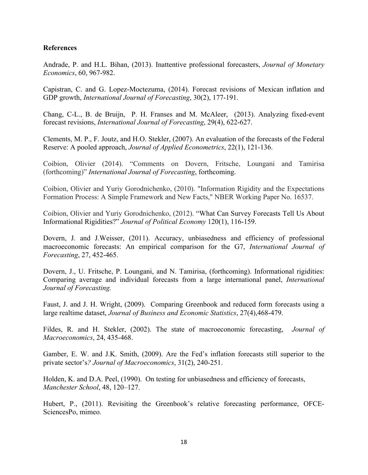## **References**

Andrade, P. and H.L. Bihan, (2013). Inattentive professional forecasters, *Journal of Monetary Economics*, 60, 967-982.

Capistran, C. and G. Lopez-Moctezuma, (2014). Forecast revisions of Mexican inflation and GDP growth, *International Journal of Forecasting*, 30(2), 177-191.

Chang, C-L., B. de Bruijn, P. H. Franses and M. McAleer, (2013). Analyzing fixed-event forecast revisions, *International Journal of Forecasting*, 29(4), 622-627.

Clements, M. P., F. Joutz, and H.O. Stekler, (2007). An evaluation of the forecasts of the Federal Reserve: A pooled approach, *Journal of Applied Econometrics*, 22(1), 121-136.

Coibion, Olivier (2014). "Comments on Dovern, Fritsche, Loungani and Tamirisa (forthcoming)" *International Journal of Forecasting*, forthcoming.

Coibion, Olivier and Yuriy Gorodnichenko, (2010). "Information Rigidity and the Expectations Formation Process: A Simple Framework and New Facts," NBER Working Paper No. 16537.

Coibion, Olivier and Yuriy Gorodnichenko, (2012). "What Can Survey Forecasts Tell Us About Informational Rigidities?" *Journal of Political Economy* 120(1), 116-159.

Dovern, J. and J.Weisser, (2011). Accuracy, unbiasedness and efficiency of professional macroeconomic forecasts: An empirical comparison for the G7, *International Journal of Forecasting*, 27, 452-465.

Dovern, J., U. Fritsche, P. Loungani, and N. Tamirisa, (forthcoming). Informational rigidities: Comparing average and individual forecasts from a large international panel, *International Journal of Forecasting.*

Faust, J. and J. H. Wright, (2009). Comparing Greenbook and reduced form forecasts using a large realtime dataset, *Journal of Business and Economic Statistics*, 27(4),468-479.

Fildes, R. and H. Stekler, (2002). The state of macroeconomic forecasting, *Journal of Macroeconomics*, 24, 435-468.

Gamber, E. W. and J.K. Smith, (2009). Are the Fed's inflation forecasts still superior to the private sector's*? Journal of Macroeconomics*, 31(2), 240-251.

Holden, K. and D.A. Peel, (1990). On testing for unbiasedness and efficiency of forecasts, *Manchester School*, 48, 120–127.

Hubert, P., (2011). Revisiting the Greenbook's relative forecasting performance, OFCE-SciencesPo, mimeo.